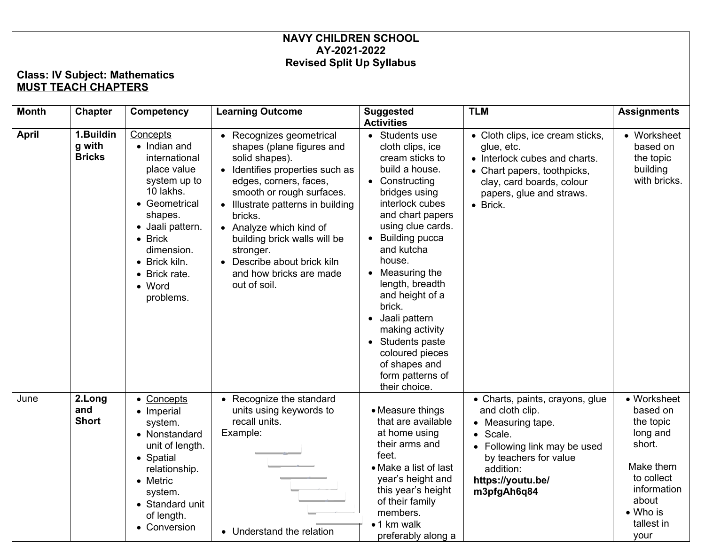## **NAVY CHILDREN SCHOOL AY-2021-2022 Revised Split Up Syllabus**

## **Class: IV Subject: Mathematics MUST TEACH CHAPTERS**

| <b>Month</b> | <b>Chapter</b>                       | Competency                                                                                                                                                                                                                            | <b>Learning Outcome</b>                                                                                                                                                                                                                                                                                                                                             | <b>Suggested</b><br><b>Activities</b>                                                                                                                                                                                                                                                                                                                                                                                                | <b>TLM</b>                                                                                                                                                                                    | <b>Assignments</b>                                                                                                                              |
|--------------|--------------------------------------|---------------------------------------------------------------------------------------------------------------------------------------------------------------------------------------------------------------------------------------|---------------------------------------------------------------------------------------------------------------------------------------------------------------------------------------------------------------------------------------------------------------------------------------------------------------------------------------------------------------------|--------------------------------------------------------------------------------------------------------------------------------------------------------------------------------------------------------------------------------------------------------------------------------------------------------------------------------------------------------------------------------------------------------------------------------------|-----------------------------------------------------------------------------------------------------------------------------------------------------------------------------------------------|-------------------------------------------------------------------------------------------------------------------------------------------------|
| <b>April</b> | 1.Buildin<br>g with<br><b>Bricks</b> | Concepts<br>• Indian and<br>international<br>place value<br>system up to<br>10 lakhs.<br>Geometrical<br>shapes.<br>• Jaali pattern.<br>$\bullet$ Brick<br>dimension.<br>• Brick kiln.<br>• Brick rate.<br>$\bullet$ Word<br>problems. | • Recognizes geometrical<br>shapes (plane figures and<br>solid shapes).<br>• Identifies properties such as<br>edges, corners, faces,<br>smooth or rough surfaces.<br>• Illustrate patterns in building<br>bricks.<br>• Analyze which kind of<br>building brick walls will be<br>stronger.<br>• Describe about brick kiln<br>and how bricks are made<br>out of soil. | • Students use<br>cloth clips, ice<br>cream sticks to<br>build a house.<br>• Constructing<br>bridges using<br>interlock cubes<br>and chart papers<br>using clue cards.<br><b>Building pucca</b><br>and kutcha<br>house.<br>Measuring the<br>length, breadth<br>and height of a<br>brick.<br>Jaali pattern<br>$\bullet$<br>making activity<br>Students paste<br>coloured pieces<br>of shapes and<br>form patterns of<br>their choice. | • Cloth clips, ice cream sticks,<br>glue, etc.<br>• Interlock cubes and charts.<br>• Chart papers, toothpicks,<br>clay, card boards, colour<br>papers, glue and straws.<br>• Brick.           | • Worksheet<br>based on<br>the topic<br>building<br>with bricks.                                                                                |
| June         | 2.Long<br>and<br><b>Short</b>        | • Concepts<br>• Imperial<br>system.<br>• Nonstandard<br>unit of length.<br>• Spatial<br>relationship.<br>• Metric<br>system.<br>• Standard unit<br>of length.<br>• Conversion                                                         | • Recognize the standard<br>units using keywords to<br>recall units.<br>Example:<br>• Understand the relation                                                                                                                                                                                                                                                       | • Measure things<br>that are available<br>at home using<br>their arms and<br>feet.<br>• Make a list of last<br>year's height and<br>this year's height<br>of their family<br>members.<br>• 1 km walk<br>preferably along a                                                                                                                                                                                                           | • Charts, paints, crayons, glue<br>and cloth clip.<br>• Measuring tape.<br>· Scale.<br>• Following link may be used<br>by teachers for value<br>addition:<br>https://youtu.be/<br>m3pfgAh6q84 | • Worksheet<br>based on<br>the topic<br>long and<br>short.<br>Make them<br>to collect<br>information<br>about<br>• Who is<br>tallest in<br>your |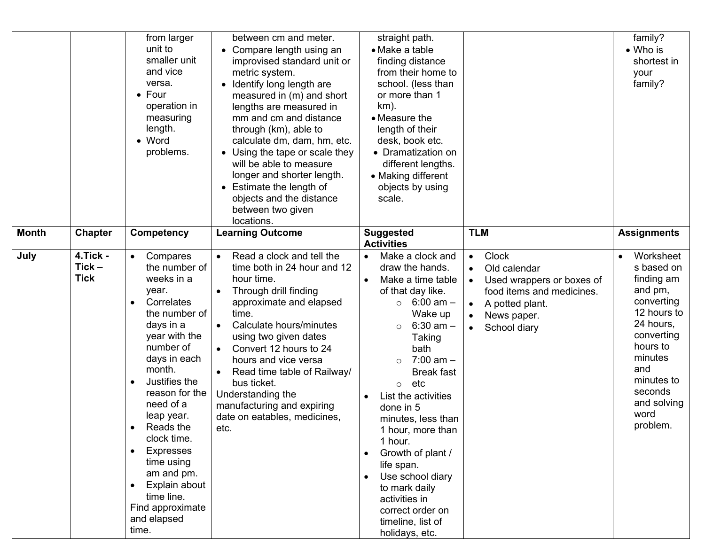|              |                                         | from larger<br>unit to<br>smaller unit<br>and vice<br>versa.<br>$\bullet$ Four<br>operation in<br>measuring<br>length.<br>• Word<br>problems.                                                                                                                                                                                                                                                                    | between cm and meter.<br>• Compare length using an<br>improvised standard unit or<br>metric system.<br>• Identify long length are<br>measured in (m) and short<br>lengths are measured in<br>mm and cm and distance<br>through (km), able to<br>calculate dm, dam, hm, etc.<br>• Using the tape or scale they<br>will be able to measure<br>longer and shorter length.<br>• Estimate the length of<br>objects and the distance<br>between two given<br>locations. | straight path.<br>• Make a table<br>finding distance<br>from their home to<br>school. (less than<br>or more than 1<br>$km$ ).<br>• Measure the<br>length of their<br>desk, book etc.<br>• Dramatization on<br>different lengths.<br>• Making different<br>objects by using<br>scale.                                                                                                                                                                                                       |                                                                                                                                                                    | family?<br>• Who is<br>shortest in<br>your<br>family?                                                                                                                                              |
|--------------|-----------------------------------------|------------------------------------------------------------------------------------------------------------------------------------------------------------------------------------------------------------------------------------------------------------------------------------------------------------------------------------------------------------------------------------------------------------------|-------------------------------------------------------------------------------------------------------------------------------------------------------------------------------------------------------------------------------------------------------------------------------------------------------------------------------------------------------------------------------------------------------------------------------------------------------------------|--------------------------------------------------------------------------------------------------------------------------------------------------------------------------------------------------------------------------------------------------------------------------------------------------------------------------------------------------------------------------------------------------------------------------------------------------------------------------------------------|--------------------------------------------------------------------------------------------------------------------------------------------------------------------|----------------------------------------------------------------------------------------------------------------------------------------------------------------------------------------------------|
| <b>Month</b> | <b>Chapter</b>                          | Competency                                                                                                                                                                                                                                                                                                                                                                                                       | <b>Learning Outcome</b>                                                                                                                                                                                                                                                                                                                                                                                                                                           | <b>Suggested</b><br><b>Activities</b>                                                                                                                                                                                                                                                                                                                                                                                                                                                      | <b>TLM</b>                                                                                                                                                         | <b>Assignments</b>                                                                                                                                                                                 |
| July         | <b>4.Tick -</b><br>Tick-<br><b>Tick</b> | Compares<br>the number of<br>weeks in a<br>year.<br>Correlates<br>the number of<br>days in a<br>year with the<br>number of<br>days in each<br>month.<br>Justifies the<br>$\bullet$<br>reason for the<br>need of a<br>leap year.<br>Reads the<br>clock time.<br><b>Expresses</b><br>$\bullet$<br>time using<br>am and pm.<br>Explain about<br>$\bullet$<br>time line.<br>Find approximate<br>and elapsed<br>time. | Read a clock and tell the<br>time both in 24 hour and 12<br>hour time.<br>Through drill finding<br>$\bullet$<br>approximate and elapsed<br>time.<br>Calculate hours/minutes<br>$\bullet$<br>using two given dates<br>Convert 12 hours to 24<br>$\bullet$<br>hours and vice versa<br>Read time table of Railway/<br>$\bullet$<br>bus ticket.<br>Understanding the<br>manufacturing and expiring<br>date on eatables, medicines,<br>etc.                            | Make a clock and<br>$\bullet$<br>draw the hands.<br>Make a time table<br>of that day like.<br>$\circ$ 6:00 am –<br>Wake up<br>$6:30$ am $-$<br>$\circ$<br>Taking<br>bath<br>$7:00$ am $-$<br>$\Omega$<br><b>Break fast</b><br>etc<br>$\circ$<br>List the activities<br>done in 5<br>minutes, less than<br>1 hour, more than<br>1 hour.<br>Growth of plant /<br>life span.<br>Use school diary<br>to mark daily<br>activities in<br>correct order on<br>timeline, list of<br>holidays, etc. | <b>Clock</b><br>$\bullet$<br>Old calendar<br>Used wrappers or boxes of<br>food items and medicines.<br>A potted plant.<br>$\bullet$<br>News paper.<br>School diary | Worksheet<br>s based on<br>finding am<br>and pm,<br>converting<br>12 hours to<br>24 hours,<br>converting<br>hours to<br>minutes<br>and<br>minutes to<br>seconds<br>and solving<br>word<br>problem. |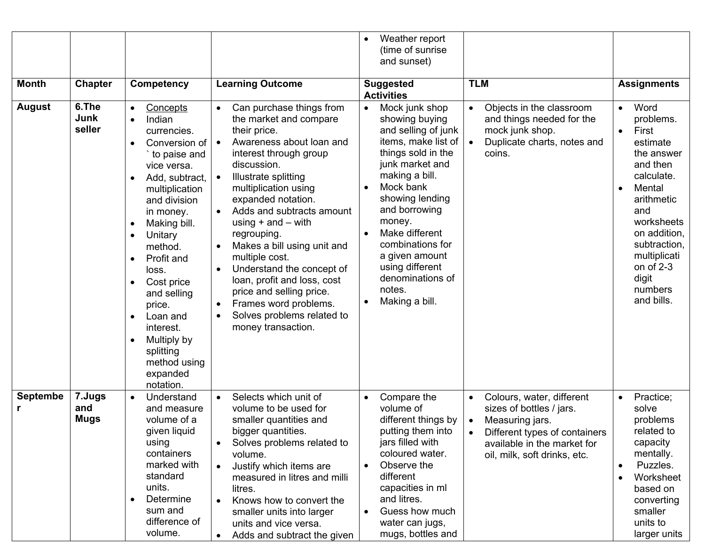|                      |                              |                                                                                                                                                                                                                                                                                                                                                                                                                                                                |                                                                                                                                                                                                                                                                                                                                                                                                                                                                                                                                                  | Weather report<br>$\bullet$<br>(time of sunrise<br>and sunset)                                                                                                                                                                                                                                                                                   |                                                                                                                                                                          |                                                                                                                                                                                                                                                                     |
|----------------------|------------------------------|----------------------------------------------------------------------------------------------------------------------------------------------------------------------------------------------------------------------------------------------------------------------------------------------------------------------------------------------------------------------------------------------------------------------------------------------------------------|--------------------------------------------------------------------------------------------------------------------------------------------------------------------------------------------------------------------------------------------------------------------------------------------------------------------------------------------------------------------------------------------------------------------------------------------------------------------------------------------------------------------------------------------------|--------------------------------------------------------------------------------------------------------------------------------------------------------------------------------------------------------------------------------------------------------------------------------------------------------------------------------------------------|--------------------------------------------------------------------------------------------------------------------------------------------------------------------------|---------------------------------------------------------------------------------------------------------------------------------------------------------------------------------------------------------------------------------------------------------------------|
| <b>Month</b>         | <b>Chapter</b>               | <b>Competency</b>                                                                                                                                                                                                                                                                                                                                                                                                                                              | <b>Learning Outcome</b>                                                                                                                                                                                                                                                                                                                                                                                                                                                                                                                          | <b>Suggested</b><br><b>Activities</b>                                                                                                                                                                                                                                                                                                            | <b>TLM</b>                                                                                                                                                               | <b>Assignments</b>                                                                                                                                                                                                                                                  |
| <b>August</b>        | 6.The<br>Junk<br>seller      | Concepts<br>$\bullet$<br>Indian<br>$\bullet$<br>currencies.<br>Conversion of  <br>to paise and<br>vice versa.<br>Add, subtract,<br>$\bullet$<br>multiplication<br>and division<br>in money.<br>Making bill.<br>$\bullet$<br>Unitary<br>$\bullet$<br>method.<br>Profit and<br>$\bullet$<br>loss.<br>Cost price<br>$\bullet$<br>and selling<br>price.<br>Loan and<br>$\bullet$<br>interest.<br>Multiply by<br>splitting<br>method using<br>expanded<br>notation. | Can purchase things from<br>$\bullet$<br>the market and compare<br>their price.<br>Awareness about loan and<br>interest through group<br>discussion.<br>Illustrate splitting<br>$\bullet$<br>multiplication using<br>expanded notation.<br>Adds and subtracts amount<br>using $+$ and $-$ with<br>regrouping.<br>Makes a bill using unit and<br>multiple cost.<br>Understand the concept of<br>loan, profit and loss, cost<br>price and selling price.<br>Frames word problems.<br>$\bullet$<br>Solves problems related to<br>money transaction. | Mock junk shop<br>$\bullet$<br>showing buying<br>and selling of junk<br>items, make list of $ $<br>things sold in the<br>junk market and<br>making a bill.<br>Mock bank<br>showing lending<br>and borrowing<br>money.<br>Make different<br>combinations for<br>a given amount<br>using different<br>denominations of<br>notes.<br>Making a bill. | Objects in the classroom<br>$\bullet$<br>and things needed for the<br>mock junk shop.<br>Duplicate charts, notes and<br>coins.                                           | Word<br>$\bullet$<br>problems.<br>First<br>$\bullet$<br>estimate<br>the answer<br>and then<br>calculate.<br>Mental<br>$\bullet$<br>arithmetic<br>and<br>worksheets<br>on addition,<br>subtraction,<br>multiplicati<br>on of $2-3$<br>digit<br>numbers<br>and bills. |
| <b>Septembe</b><br>r | 7.Jugs<br>and<br><b>Mugs</b> | Understand<br>and measure<br>volume of a<br>given liquid<br>using<br>containers<br>marked with<br>standard<br>units.<br>Determine<br>sum and<br>difference of<br>volume.                                                                                                                                                                                                                                                                                       | Selects which unit of<br>$\bullet$<br>volume to be used for<br>smaller quantities and<br>bigger quantities.<br>Solves problems related to<br>volume.<br>Justify which items are<br>$\bullet$<br>measured in litres and milli<br>litres.<br>Knows how to convert the<br>$\bullet$<br>smaller units into larger<br>units and vice versa.<br>Adds and subtract the given                                                                                                                                                                            | Compare the<br>$\bullet$<br>volume of<br>different things by<br>putting them into<br>jars filled with<br>coloured water.<br>Observe the<br>different<br>capacities in ml<br>and litres.<br>Guess how much<br>water can jugs,<br>mugs, bottles and                                                                                                | Colours, water, different<br>sizes of bottles / jars.<br>Measuring jars.<br>Different types of containers<br>available in the market for<br>oil, milk, soft drinks, etc. | Practice;<br>$\bullet$<br>solve<br>problems<br>related to<br>capacity<br>mentally.<br>Puzzles.<br>$\bullet$<br>Worksheet<br>based on<br>converting<br>smaller<br>units to<br>larger units                                                                           |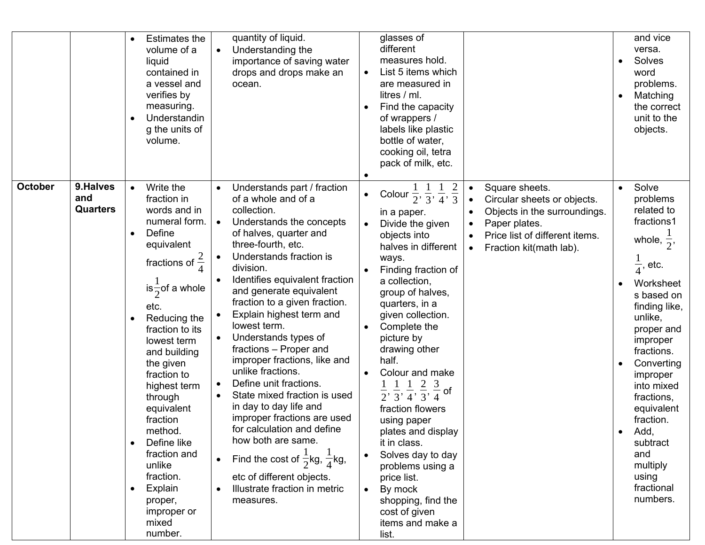|                                                      | quantity of liquid.<br>Estimates the<br>$\bullet$<br>Understanding the<br>volume of a<br>$\bullet$<br>importance of saving water<br>liquid<br>drops and drops make an<br>contained in<br>a vessel and<br>ocean.<br>verifies by<br>measuring.<br>Understandin<br>$\bullet$<br>g the units of<br>volume.                                                                                                                                                                                                                                                                                                                                                                                                                                                                                                                                                                                                                                                                                                                                                                                                                                                                                                                                                                             | glasses of<br>different<br>measures hold.<br>List 5 items which<br>are measured in<br>litres / ml.<br>Find the capacity<br>of wrappers /<br>labels like plastic<br>bottle of water,<br>cooking oil, tetra<br>pack of milk, etc.                                                                                                                                                                                                                                                                                                                                                                                                                                                                                                                                                                                                                             | and vice<br>versa.<br>Solves<br>word<br>problems.<br>Matching<br>the correct<br>unit to the<br>objects.                                                                                                                                                                                                                                                                             |
|------------------------------------------------------|------------------------------------------------------------------------------------------------------------------------------------------------------------------------------------------------------------------------------------------------------------------------------------------------------------------------------------------------------------------------------------------------------------------------------------------------------------------------------------------------------------------------------------------------------------------------------------------------------------------------------------------------------------------------------------------------------------------------------------------------------------------------------------------------------------------------------------------------------------------------------------------------------------------------------------------------------------------------------------------------------------------------------------------------------------------------------------------------------------------------------------------------------------------------------------------------------------------------------------------------------------------------------------|-------------------------------------------------------------------------------------------------------------------------------------------------------------------------------------------------------------------------------------------------------------------------------------------------------------------------------------------------------------------------------------------------------------------------------------------------------------------------------------------------------------------------------------------------------------------------------------------------------------------------------------------------------------------------------------------------------------------------------------------------------------------------------------------------------------------------------------------------------------|-------------------------------------------------------------------------------------------------------------------------------------------------------------------------------------------------------------------------------------------------------------------------------------------------------------------------------------------------------------------------------------|
| <b>October</b><br>9.Halves<br>and<br><b>Quarters</b> | Write the<br>Understands part / fraction<br>$\bullet$<br>fraction in<br>of a whole and of a<br>words and in<br>collection.<br>numeral form.<br>Understands the concepts<br>$\bullet$<br>Define<br>of halves, quarter and<br>$\bullet$<br>three-fourth, etc.<br>equivalent<br>Understands fraction is<br>fractions of $\frac{2}{4}$<br>division.<br>Identifies equivalent fraction<br>is $\frac{1}{2}$ of a whole<br>and generate equivalent<br>fraction to a given fraction.<br>etc.<br>Explain highest term and<br>Reducing the<br>$\bullet$<br>lowest term.<br>fraction to its<br>Understands types of<br>lowest term<br>fractions - Proper and<br>and building<br>improper fractions, like and<br>the given<br>unlike fractions.<br>fraction to<br>Define unit fractions.<br>highest term<br>State mixed fraction is used<br>through<br>in day to day life and<br>equivalent<br>improper fractions are used<br>fraction<br>for calculation and define<br>method.<br>how both are same.<br>Define like<br>$\bullet$<br>fraction and<br>Find the cost of $\frac{1}{2}$ kg, $\frac{1}{4}$ kg,<br>unlike<br>fraction.<br>etc of different objects.<br>Illustrate fraction in metric<br>Explain<br>$\bullet$<br>$\bullet$<br>proper,<br>measures.<br>improper or<br>mixed<br>number. | Square sheets.<br>Colour $\frac{1}{2}, \frac{1}{3}, \frac{1}{4}, \frac{2}{3}$<br>Circular sheets or objects.<br>$\bullet$<br>Objects in the surroundings.<br>in a paper.<br>$\bullet$<br>Paper plates.<br>Divide the given<br>$\bullet$<br>objects into<br>Price list of different items.<br>halves in different<br>Fraction kit(math lab).<br>ways.<br>Finding fraction of<br>a collection,<br>group of halves,<br>quarters, in a<br>given collection.<br>Complete the<br>picture by<br>drawing other<br>half.<br>Colour and make<br>1 1 1 2 3<br>of<br>$\overline{2}$ , $\overline{3}$ , $\overline{4}$ , $\overline{3}$ , $\overline{4}$<br>fraction flowers<br>using paper<br>plates and display<br>it in class.<br>Solves day to day<br>problems using a<br>price list.<br>By mock<br>shopping, find the<br>cost of given<br>items and make a<br>list. | Solve<br>$\bullet$<br>problems<br>related to<br>fractions1<br>whole, $\frac{1}{2}$ ,<br>$\frac{1}{4}$ , etc.<br>Worksheet<br>s based on<br>finding like,<br>unlike,<br>proper and<br>improper<br>fractions.<br>Converting<br>improper<br>into mixed<br>fractions,<br>equivalent<br>fraction.<br>Add,<br>$\bullet$<br>subtract<br>and<br>multiply<br>using<br>fractional<br>numbers. |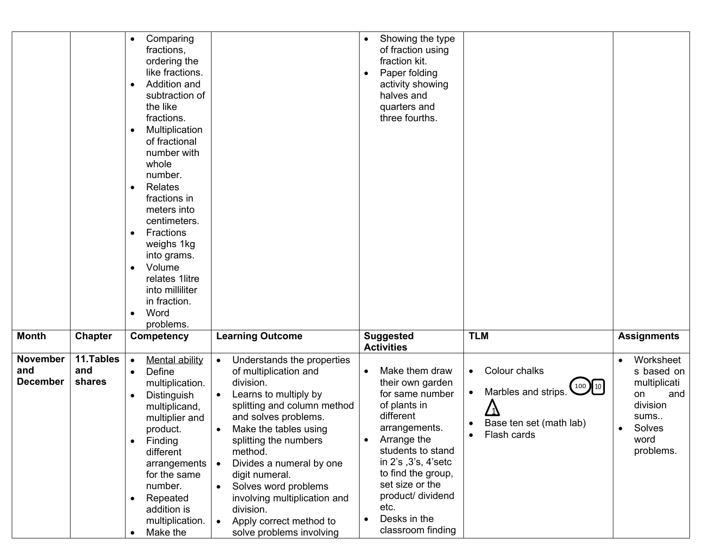|                                           |                            | Comparing<br>$\bullet$<br>fractions,<br>ordering the<br>like fractions.<br>Addition and<br>$\bullet$<br>subtraction of<br>the like<br>fractions.<br>Multiplication<br>$\bullet$<br>of fractional<br>number with<br>whole<br>number.<br>Relates<br>$\bullet$<br>fractions in<br>meters into<br>centimeters.<br>Fractions<br>$\bullet$<br>weighs 1kg<br>into grams.<br>Volume<br>$\bullet$<br>relates 1litre<br>into milliliter<br>in fraction.<br>Word<br>problems. |                                                                                                                                                                                                                                                                                                                                                                                                                                                                       | Showing the type<br>$\bullet$<br>of fraction using<br>fraction kit.<br>Paper folding<br>activity showing<br>halves and<br>quarters and<br>three fourths.                                                                                                                                |                                                                                                                                                |                                                                                                              |
|-------------------------------------------|----------------------------|--------------------------------------------------------------------------------------------------------------------------------------------------------------------------------------------------------------------------------------------------------------------------------------------------------------------------------------------------------------------------------------------------------------------------------------------------------------------|-----------------------------------------------------------------------------------------------------------------------------------------------------------------------------------------------------------------------------------------------------------------------------------------------------------------------------------------------------------------------------------------------------------------------------------------------------------------------|-----------------------------------------------------------------------------------------------------------------------------------------------------------------------------------------------------------------------------------------------------------------------------------------|------------------------------------------------------------------------------------------------------------------------------------------------|--------------------------------------------------------------------------------------------------------------|
| <b>Month</b>                              | <b>Chapter</b>             | <b>Competency</b>                                                                                                                                                                                                                                                                                                                                                                                                                                                  | <b>Learning Outcome</b>                                                                                                                                                                                                                                                                                                                                                                                                                                               | <b>Suggested</b><br><b>Activities</b>                                                                                                                                                                                                                                                   | <b>TLM</b>                                                                                                                                     | <b>Assignments</b>                                                                                           |
| <b>November</b><br>and<br><b>December</b> | 11.Tables<br>and<br>shares | <b>Mental ability</b><br>$\bullet$<br>Define<br>$\bullet$<br>multiplication.<br>Distinguish<br>multiplicand,<br>multiplier and<br>product.<br>Finding<br>$\bullet$<br>different<br>arrangements<br>for the same<br>number.<br>Repeated<br>$\bullet$<br>addition is<br>multiplication.<br>Make the<br>$\bullet$                                                                                                                                                     | Understands the properties<br>$\bullet$<br>of multiplication and<br>division.<br>Learns to multiply by<br>$\bullet$<br>splitting and column method<br>and solves problems.<br>Make the tables using<br>$\bullet$<br>splitting the numbers<br>method.<br>Divides a numeral by one<br>$\bullet$<br>digit numeral.<br>Solves word problems<br>$\bullet$<br>involving multiplication and<br>division.<br>Apply correct method to<br>$\bullet$<br>solve problems involving | Make them draw<br>$\bullet$<br>their own garden<br>for same number<br>of plants in<br>different<br>arrangements.<br>Arrange the<br>students to stand<br>in 2's , 3's, 4'setc<br>to find the group,<br>set size or the<br>product/ dividend<br>etc.<br>Desks in the<br>classroom finding | Colour chalks<br>$\bullet$<br>100 [10]<br>Marbles and strips.<br>$\bullet$<br>Base ten set (math lab)<br>$\bullet$<br>Flash cards<br>$\bullet$ | Worksheet<br>s based on<br>multiplicati<br>on<br>and<br>division<br>sums<br>Solves<br>٠<br>word<br>problems. |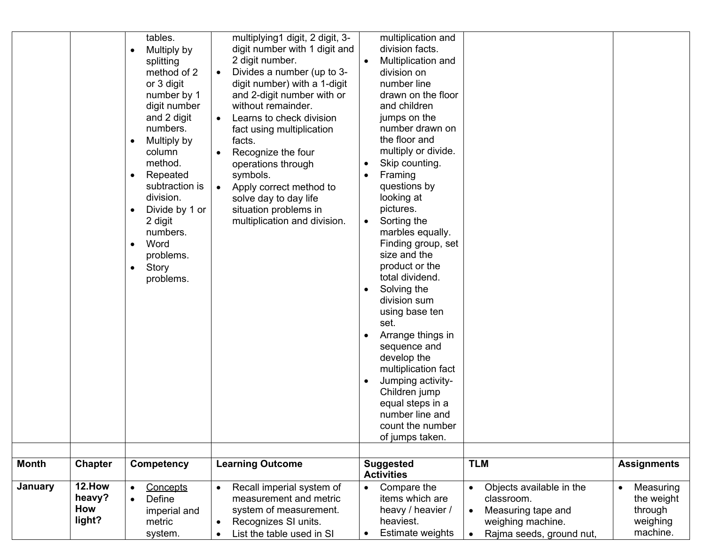|                                | tables.<br>Multiply by<br>splitting<br>method of 2<br>or 3 digit<br>number by 1<br>digit number<br>and 2 digit<br>numbers.<br>Multiply by<br>column<br>method.<br>Repeated<br>subtraction is<br>division.<br>Divide by 1 or<br>2 digit<br>numbers.<br>Word<br>$\bullet$<br>problems.<br>Story<br>$\bullet$<br>problems. | multiplying1 digit, 2 digit, 3-<br>digit number with 1 digit and<br>2 digit number.<br>Divides a number (up to 3-<br>digit number) with a 1-digit<br>and 2-digit number with or<br>without remainder.<br>Learns to check division<br>fact using multiplication<br>facts.<br>Recognize the four<br>$\bullet$<br>operations through<br>symbols.<br>Apply correct method to<br>solve day to day life<br>situation problems in<br>multiplication and division. | multiplication and<br>division facts.<br>Multiplication and<br>division on<br>number line<br>drawn on the floor<br>and children<br>jumps on the<br>number drawn on<br>the floor and<br>multiply or divide.<br>Skip counting.<br>Framing<br>questions by<br>looking at<br>pictures.<br>Sorting the<br>$\bullet$<br>marbles equally.<br>Finding group, set<br>size and the<br>product or the<br>total dividend.<br>Solving the<br>division sum<br>using base ten<br>set.<br>Arrange things in<br>sequence and<br>develop the<br>multiplication fact<br>Jumping activity-<br>Children jump<br>equal steps in a<br>number line and<br>count the number<br>of jumps taken. |                                                                                   |                                               |
|--------------------------------|-------------------------------------------------------------------------------------------------------------------------------------------------------------------------------------------------------------------------------------------------------------------------------------------------------------------------|------------------------------------------------------------------------------------------------------------------------------------------------------------------------------------------------------------------------------------------------------------------------------------------------------------------------------------------------------------------------------------------------------------------------------------------------------------|-----------------------------------------------------------------------------------------------------------------------------------------------------------------------------------------------------------------------------------------------------------------------------------------------------------------------------------------------------------------------------------------------------------------------------------------------------------------------------------------------------------------------------------------------------------------------------------------------------------------------------------------------------------------------|-----------------------------------------------------------------------------------|-----------------------------------------------|
| <b>Month</b><br><b>Chapter</b> | Competency                                                                                                                                                                                                                                                                                                              | <b>Learning Outcome</b>                                                                                                                                                                                                                                                                                                                                                                                                                                    | <b>Suggested</b><br><b>Activities</b>                                                                                                                                                                                                                                                                                                                                                                                                                                                                                                                                                                                                                                 | <b>TLM</b>                                                                        | <b>Assignments</b>                            |
| 12.How<br><b>January</b>       | Concepts<br>$\bullet$                                                                                                                                                                                                                                                                                                   | Recall imperial system of<br>$\bullet$                                                                                                                                                                                                                                                                                                                                                                                                                     | Compare the<br>$\bullet$                                                                                                                                                                                                                                                                                                                                                                                                                                                                                                                                                                                                                                              | Objects available in the<br>$\bullet$                                             | Measuring<br>$\bullet$                        |
| heavy?<br>How<br>light?        | Define<br>imperial and<br>metric<br>system.                                                                                                                                                                                                                                                                             | measurement and metric<br>system of measurement.<br>Recognizes SI units.<br>$\bullet$<br>List the table used in SI                                                                                                                                                                                                                                                                                                                                         | items which are<br>heavy / heavier /<br>heaviest.<br>Estimate weights                                                                                                                                                                                                                                                                                                                                                                                                                                                                                                                                                                                                 | classroom.<br>Measuring tape and<br>weighing machine.<br>Rajma seeds, ground nut, | the weight<br>through<br>weighing<br>machine. |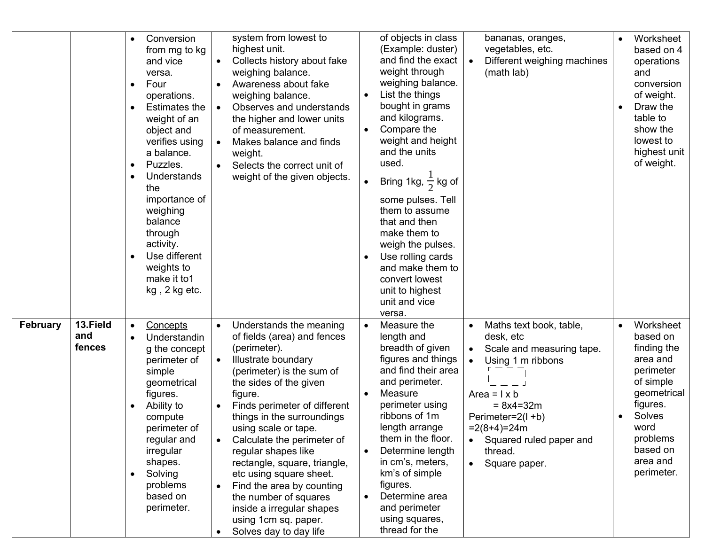|                 |                           | Conversion<br>$\bullet$<br>from mg to kg<br>and vice<br>versa.<br>Four<br>$\bullet$<br>operations.<br>Estimates the<br>weight of an<br>object and<br>verifies using<br>a balance.<br>Puzzles.<br>$\bullet$<br>Understands<br>the<br>importance of<br>weighing<br>balance<br>through<br>activity.<br>Use different<br>weights to<br>make it to1<br>kg, 2 kg etc. | system from lowest to<br>highest unit.<br>Collects history about fake<br>weighing balance.<br>Awareness about fake<br>weighing balance.<br>Observes and understands<br>the higher and lower units<br>of measurement.<br>Makes balance and finds<br>$\bullet$<br>weight.<br>• Selects the correct unit of<br>weight of the given objects.                                                                                                                                                                                | of objects in class<br>(Example: duster)<br>and find the exact<br>weight through<br>weighing balance.<br>List the things<br>bought in grams<br>and kilograms.<br>Compare the<br>weight and height<br>and the units<br>used.<br>Bring 1kg, $\frac{1}{2}$ kg of<br>some pulses. Tell<br>them to assume<br>that and then<br>make them to<br>weigh the pulses.<br>Use rolling cards<br>and make them to<br>convert lowest<br>unit to highest<br>unit and vice<br>versa. | bananas, oranges,<br>vegetables, etc.<br>Different weighing machines<br>$\bullet$<br>(math lab)                                                                                                                                                       | Worksheet<br>based on 4<br>operations<br>and<br>conversion<br>of weight.<br>Draw the<br>table to<br>show the<br>lowest to<br>highest unit<br>of weight.                   |
|-----------------|---------------------------|-----------------------------------------------------------------------------------------------------------------------------------------------------------------------------------------------------------------------------------------------------------------------------------------------------------------------------------------------------------------|-------------------------------------------------------------------------------------------------------------------------------------------------------------------------------------------------------------------------------------------------------------------------------------------------------------------------------------------------------------------------------------------------------------------------------------------------------------------------------------------------------------------------|---------------------------------------------------------------------------------------------------------------------------------------------------------------------------------------------------------------------------------------------------------------------------------------------------------------------------------------------------------------------------------------------------------------------------------------------------------------------|-------------------------------------------------------------------------------------------------------------------------------------------------------------------------------------------------------------------------------------------------------|---------------------------------------------------------------------------------------------------------------------------------------------------------------------------|
| <b>February</b> | 13.Field<br>and<br>fences | Concepts<br>$\bullet$<br>Understandin<br>g the concept<br>perimeter of<br>simple<br>geometrical<br>figures.<br>Ability to<br>compute<br>perimeter of<br>regular and<br>irregular<br>shapes.<br>Solving<br>$\bullet$<br>problems<br>based on<br>perimeter.                                                                                                       | Understands the meaning<br>of fields (area) and fences<br>(perimeter).<br>Illustrate boundary<br>(perimeter) is the sum of<br>the sides of the given<br>figure.<br>Finds perimeter of different<br>things in the surroundings<br>using scale or tape.<br>Calculate the perimeter of<br>regular shapes like<br>rectangle, square, triangle,<br>etc using square sheet.<br>Find the area by counting<br>the number of squares<br>inside a irregular shapes<br>using 1cm sq. paper.<br>Solves day to day life<br>$\bullet$ | Measure the<br>$\bullet$<br>length and<br>breadth of given<br>figures and things<br>and find their area<br>and perimeter.<br>Measure<br>perimeter using<br>ribbons of 1m<br>length arrange<br>them in the floor.<br>Determine length<br>in cm's, meters,<br>km's of simple<br>figures.<br>Determine area<br>and perimeter<br>using squares,<br>thread for the                                                                                                       | Maths text book, table,<br>$\bullet$<br>desk, etc<br>Scale and measuring tape.<br>Using 1 m ribbons<br>Area = $1 \times b$<br>$= 8x4 = 32m$<br>Perimeter=2(l +b)<br>$=2(8+4)=24m$<br>Squared ruled paper and<br>thread.<br>Square paper.<br>$\bullet$ | Worksheet<br>based on<br>finding the<br>area and<br>perimeter<br>of simple<br>geometrical<br>figures.<br>Solves<br>word<br>problems<br>based on<br>area and<br>perimeter. |